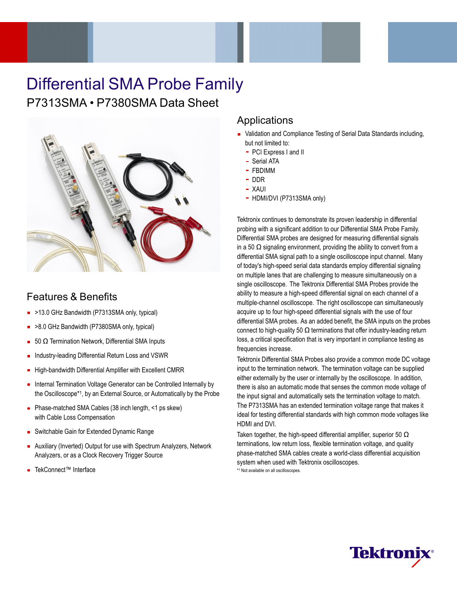# Differential SMA Probe Family

## P7313SMA • P7380SMA Data Sheet



### Features & Benefits

- >13.0 GHz Bandwidth (P7313SMA only, typical)
- >8.0 GHz Bandwidth (P7380SMA only, typical)
- 50  $Ω$  Termination Network, Differential SMA Inputs
- Industry-leading Differential Return Loss and VSWR  $\blacksquare$
- High-bandwidth Differential Amplifier with Excellent CMRR
- Internal Termination Voltage Generator can be Controlled Internally by  $\blacksquare$ the Oscilloscope\*1, by an External Source, or Automatically by the Probe
- Phase-matched SMA Cables (38 inch length, <1 ps skew) with Cable Loss Compensation
- **Switchable Gain for Extended Dynamic Range**
- Auxiliary (Inverted) Output for use with Spectrum Analyzers, Network Analyzers, or as a Clock Recovery Trigger Source
- TekConnect™ Interface

### Applications

- Validation and Compliance Testing of Serial Data Standards including, but not limited to:
	- PCI Express I and II
	- Serial ATA
	- FBDIMM
	- DDR
	- XAUI
	- HDMI/DVI (P7313SMA only)

Tektronix continues to demonstrate its proven leadership in differential probing with a significant addition to our Differential SMA Probe Family. Differential SMA probes are designed for measuring differential signals in a 50  $\Omega$  signaling environment, providing the ability to convert from a differential SMA signal path to a single oscilloscope input channel. Many of today's high-speed serial data standards employ differential signaling on multiple lanes that are challenging to measure simultaneously on a single oscilloscope. The Tektronix Differential SMA Probes provide the ability to measure a high-speed differential signal on each channel of a multiple-channel oscilloscope. The right oscilloscope can simultaneously acquire up to four high-speed differential signals with the use of four differential SMA probes. As an added benefit, the SMA inputs on the probes connect to high-quality 50  $\Omega$  terminations that offer industry-leading return loss, a critical specification that is very important in compliance testing as frequencies increase.

Tektronix Differential SMA Probes also provide a common mode DC voltage input to the termination network. The termination voltage can be supplied either externally by the user or internally by the oscilloscope. In addition, there is also an automatic mode that senses the common mode voltage of the input signal and automatically sets the termination voltage to match. The P7313SMA has an extended termination voltage range that makes it ideal for testing differential standards with high common mode voltages like HDMI and DVI.

Taken together, the high-speed differential amplifier, superior 50  $\Omega$ terminations, low return loss, flexible termination voltage, and quality phase-matched SMA cables create a world-class differential acquisition system when used with Tektronix oscilloscopes. \*1 Not available on all oscilloscopes.

**Tektron**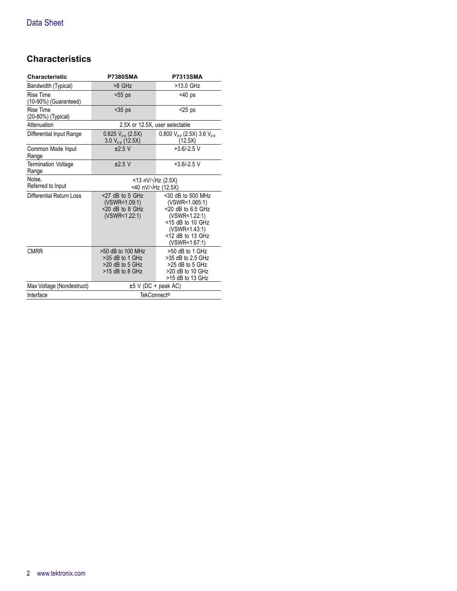### **Characteristics**

| <b>Characteristic</b>               | <b>P7380SMA</b>                                                              | <b>P7313SMA</b>                                                                                                                                              |  |
|-------------------------------------|------------------------------------------------------------------------------|--------------------------------------------------------------------------------------------------------------------------------------------------------------|--|
| Bandwidth (Typical)                 | >8 GHz                                                                       | >13.0 GHz                                                                                                                                                    |  |
| Rise Time<br>(10-90%) (Guaranteed)  | $< 55$ ps                                                                    | $<$ 40 ps                                                                                                                                                    |  |
| Rise Time<br>(20-80%) (Typical)     | $35$ ps                                                                      | $<$ 25 ps                                                                                                                                                    |  |
| Attenuation                         | 2.5X or 12.5X, user selectable                                               |                                                                                                                                                              |  |
| Differential Input Range            | $0.625 V_{p-p}$ (2.5X)<br>$3.0 V_{p.p}$ (12.5X)                              | 0.800 $V_{p-p}$ (2.5X) 3.6 $V_{p-p}$<br>(12.5X)                                                                                                              |  |
| Common Mode Input<br>Range          | $±2.5$ V                                                                     | $+3.6/-2.5$ V                                                                                                                                                |  |
| <b>Termination Voltage</b><br>Range | $±2.5$ V                                                                     | $+3.6/-2.5$ V                                                                                                                                                |  |
| Noise.<br>Referred to Input         | <13 nV/ $\sqrt{Hz}$ (2.5X)<br><40 nV/ $\sqrt{Hz}$ (12.5X)                    |                                                                                                                                                              |  |
| Differential Return Loss            | $<$ 27 dB to 5 GHz<br>(VSWR<1.09:1)<br>$<$ 20 dB to 8 GHz<br>(VSWR<1.22:1)   | $<$ 30 dB to 500 MHz<br>(VSWR<1.065:1)<br>$< 20$ dB to 6.5 GHz<br>(VSWR<1.22:1)<br>$<$ 15 dB to 10 GHz<br>(VSWR<1.43:1)<br><12 dB to 13 GHz<br>(VSWR<1.67:1) |  |
| <b>CMRR</b>                         | >50 dB to 100 MHz<br>>35 dB to 1 GHz<br>>20 dB to 5 GHz<br>$>15$ dB to 8 GHz | >50 dB to 1 GHz<br>>35 dB to 2.5 GHz<br>>25 dB to 5 GHz<br>>20 dB to 10 GHz<br>>15 dB to 13 GHz                                                              |  |
| Max Voltage (Nondestruct)           | $\pm 5$ V (DC + peak AC)                                                     |                                                                                                                                                              |  |
| Interface                           | <b>TekConnect®</b>                                                           |                                                                                                                                                              |  |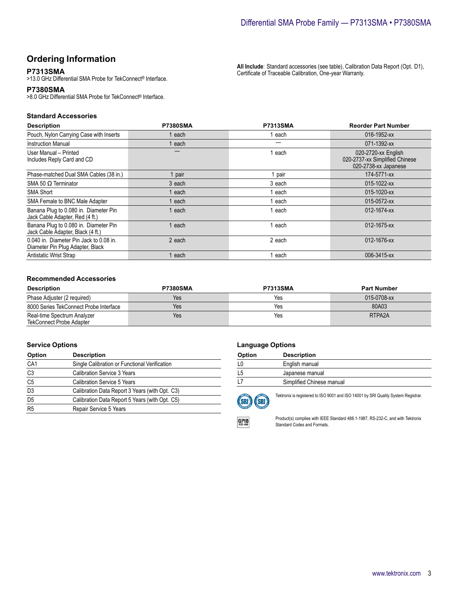### **Ordering Information**

### **P7313SMA**

>13.0 GHz Differential SMA Probe for TekConnect® Interface.

#### **P7380SMA**

>8.0 GHz Differential SMA Probe for TekConnect® Interface.

#### **Standard Accessories**

| <b>Description</b>                                                          | <b>P7380SMA</b> | <b>P7313SMA</b> | <b>Reorder Part Number</b>                                                    |
|-----------------------------------------------------------------------------|-----------------|-----------------|-------------------------------------------------------------------------------|
| Pouch, Nylon Carrying Case with Inserts                                     | each            | each            | 016-1952-xx                                                                   |
| Instruction Manual                                                          | each            |                 | 071-1392-xx                                                                   |
| User Manual - Printed<br>Includes Reply Card and CD                         |                 | each            | 020-2720-xx English<br>020-2737-xx Simplified Chinese<br>020-2738-xx Japanese |
| Phase-matched Dual SMA Cables (38 in.)                                      | pair            | pair            | 174-5771-xx                                                                   |
| SMA 50 $\Omega$ Terminator                                                  | 3 each          | 3 each          | 015-1022-xx                                                                   |
| <b>SMA Short</b>                                                            | each            | each            | 015-1020-xx                                                                   |
| SMA Female to BNC Male Adapter                                              | each            | each            | 015-0572-xx                                                                   |
| Banana Plug to 0.080 in. Diameter Pin<br>Jack Cable Adapter, Red (4 ft.)    | each            | each            | 012-1674-xx                                                                   |
| Banana Plug to 0.080 in. Diameter Pin<br>Jack Cable Adapter, Black (4 ft.)  | each            | each            | 012-1675-xx                                                                   |
| 0.040 in. Diameter Pin Jack to 0.08 in.<br>Diameter Pin Plug Adapter, Black | 2 each          | 2 each          | 012-1676-xx                                                                   |
| Antistatic Wrist Strap                                                      | each            | each            | 006-3415-xx                                                                   |

#### **Recommended Accessories**

| <b>Description</b>                                             | <b>P7380SMA</b> | <b>P7313SMA</b> | <b>Part Number</b> |
|----------------------------------------------------------------|-----------------|-----------------|--------------------|
| Phase Adjuster (2 required)                                    | Yes             | Yes             | 015-0708-xx        |
| 8000 Series TekConnect Probe Interface                         | Yes             | Yes             | 80A03              |
| Real-time Spectrum Analyzer<br><b>TekConnect Probe Adapter</b> | Yes             | Yes             | RTPA2A             |

#### **Service Options**

| Option         | <b>Description</b>                             |  |
|----------------|------------------------------------------------|--|
| CA1            | Single Calibration or Functional Verification  |  |
| C3             | <b>Calibration Service 3 Years</b>             |  |
| C <sub>5</sub> | <b>Calibration Service 5 Years</b>             |  |
| D <sub>3</sub> | Calibration Data Report 3 Years (with Opt. C3) |  |
| $rac{D5}{R5}$  | Calibration Data Report 5 Years (with Opt. C5) |  |
|                | Repair Service 5 Years                         |  |

#### **Language Options**

| Option | <b>Description</b>        |
|--------|---------------------------|
|        | English manual            |
| L5     | Japanese manual           |
|        | Simplified Chinese manual |



Tektronix is registered to ISO 9001 and ISO 14001 by SRI Quality System Registrar.



Product(s) complies with IEEE Standard 488.1-1987, RS-232-C, and with Tektronix Standard Codes and Formats.